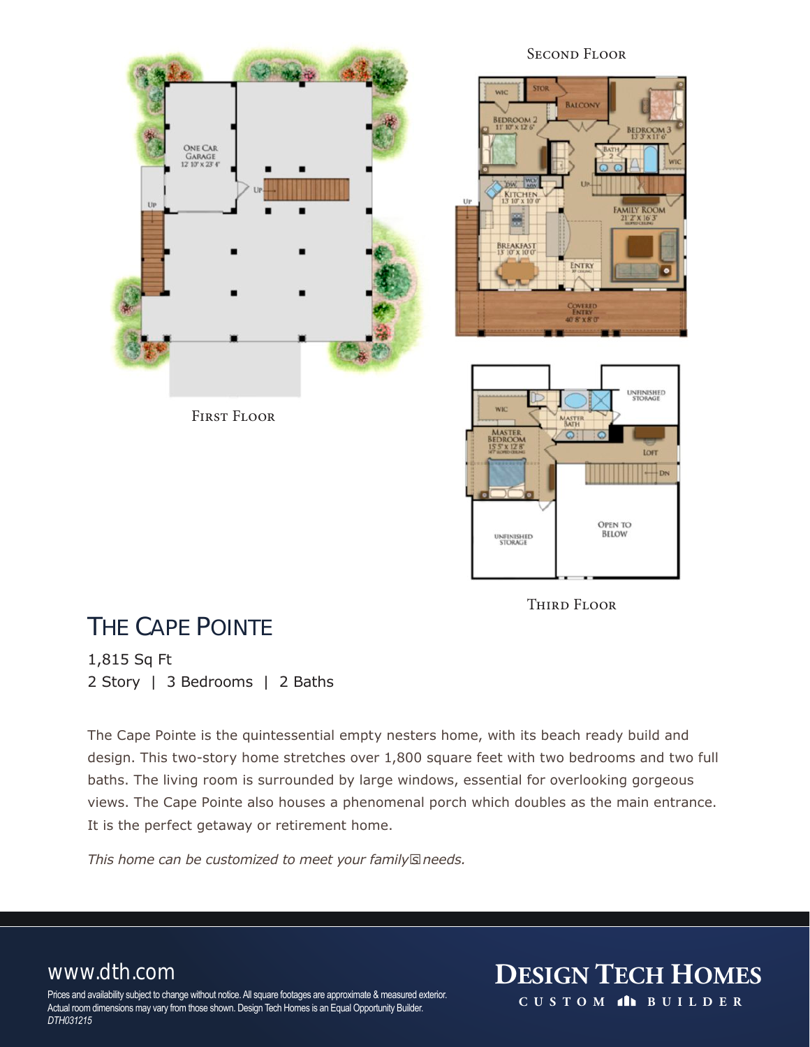

Second Floor





### THE CAPE POINTE

1,815 Sq Ft 2 Story | 3 Bedrooms | 2 Baths

The Cape Pointe is the quintessential empty nesters home, with its beach ready build and design. This two-story home stretches over 1,800 square feet with two bedrooms and two full baths. The living room is surrounded by large windows, essential for overlooking gorgeous views. The Cape Pointe also houses a phenomenal porch which doubles as the main entrance. It is the perfect getaway or retirement home.

*This home can be customized to meet your family's needs.*

Prices and availability subject to change without notice. All square footages are approximate & measured exterior. Actual room dimensions may vary from those shown. Design Tech Homes is an Equal Opportunity Builder. *DTH031215*

**THIRD FLOOR** 

www.dth.com **DESIGN TECH HOMES CUST O M BUILDER**